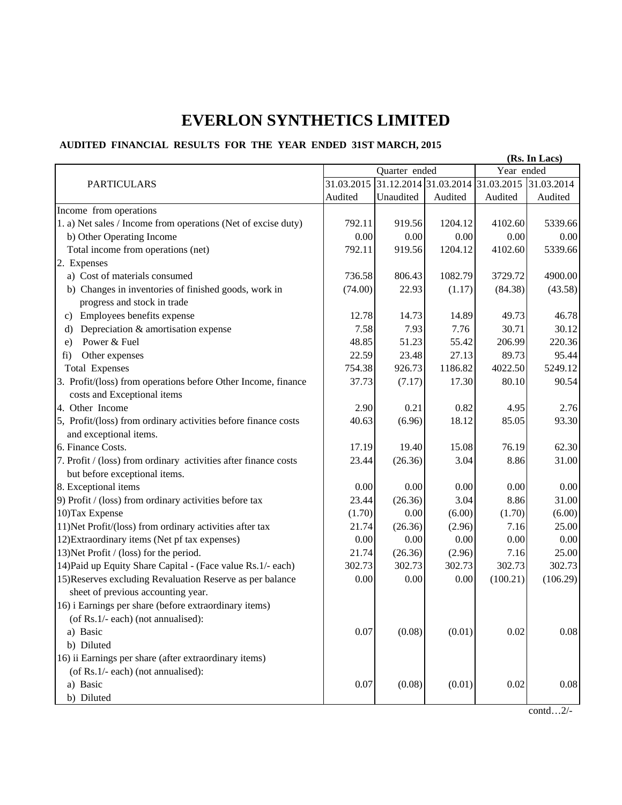## **EVERLON SYNTHETICS LIMITED**

## **AUDITED FINANCIAL RESULTS FOR THE YEAR ENDED 31ST MARCH, 2015**

|                                                                                                 | (Rs. In Lacs) |           |         |                                             |          |
|-------------------------------------------------------------------------------------------------|---------------|-----------|---------|---------------------------------------------|----------|
|                                                                                                 | Quarter ended |           |         | Year ended                                  |          |
| <b>PARTICULARS</b>                                                                              | 31.03.2015    |           |         | 31.12.2014 31.03.2014 31.03.2015 31.03.2014 |          |
|                                                                                                 | Audited       | Unaudited | Audited | Audited                                     | Audited  |
| Income from operations                                                                          |               |           |         |                                             |          |
| 1. a) Net sales / Income from operations (Net of excise duty)                                   | 792.11        | 919.56    | 1204.12 | 4102.60                                     | 5339.66  |
| b) Other Operating Income                                                                       | 0.00          | 0.00      | 0.00    | 0.00                                        | 0.00     |
| Total income from operations (net)                                                              | 792.11        | 919.56    | 1204.12 | 4102.60                                     | 5339.66  |
| 2. Expenses                                                                                     |               |           |         |                                             |          |
| a) Cost of materials consumed                                                                   | 736.58        | 806.43    | 1082.79 | 3729.72                                     | 4900.00  |
| b) Changes in inventories of finished goods, work in                                            | (74.00)       | 22.93     | (1.17)  | (84.38)                                     | (43.58)  |
| progress and stock in trade                                                                     |               |           |         |                                             |          |
| Employees benefits expense<br>c)                                                                | 12.78         | 14.73     | 14.89   | 49.73                                       | 46.78    |
| Depreciation & amortisation expense<br>d)                                                       | 7.58          | 7.93      | 7.76    | 30.71                                       | 30.12    |
| Power & Fuel<br>e)                                                                              | 48.85         | 51.23     | 55.42   | 206.99                                      | 220.36   |
| Other expenses<br>fi)                                                                           | 22.59         | 23.48     | 27.13   | 89.73                                       | 95.44    |
| <b>Total Expenses</b>                                                                           | 754.38        | 926.73    | 1186.82 | 4022.50                                     | 5249.12  |
| 3. Profit/(loss) from operations before Other Income, finance<br>costs and Exceptional items    | 37.73         | (7.17)    | 17.30   | 80.10                                       | 90.54    |
| 4. Other Income                                                                                 | 2.90          | 0.21      | 0.82    | 4.95                                        | 2.76     |
| 5, Profit/(loss) from ordinary activities before finance costs                                  | 40.63         | (6.96)    | 18.12   | 85.05                                       | 93.30    |
| and exceptional items.                                                                          |               |           |         |                                             |          |
| 6. Finance Costs.                                                                               | 17.19         | 19.40     | 15.08   | 76.19                                       | 62.30    |
| 7. Profit / (loss) from ordinary activities after finance costs                                 | 23.44         | (26.36)   | 3.04    | 8.86                                        | 31.00    |
| but before exceptional items.                                                                   |               |           |         |                                             |          |
| 8. Exceptional items                                                                            | 0.00          | 0.00      | 0.00    | 0.00                                        | 0.00     |
| 9) Profit / (loss) from ordinary activities before tax                                          | 23.44         | (26.36)   | 3.04    | 8.86                                        | 31.00    |
| 10) Tax Expense                                                                                 | (1.70)        | 0.00      | (6.00)  | (1.70)                                      | (6.00)   |
| 11) Net Profit/(loss) from ordinary activities after tax                                        | 21.74         | (26.36)   | (2.96)  | 7.16                                        | 25.00    |
| 12) Extraordinary items (Net pf tax expenses)                                                   | 0.00          | 0.00      | 0.00    | 0.00                                        | 0.00     |
| 13) Net Profit / (loss) for the period.                                                         | 21.74         | (26.36)   | (2.96)  | 7.16                                        | 25.00    |
| 14) Paid up Equity Share Capital - (Face value Rs.1/- each)                                     | 302.73        | 302.73    | 302.73  | 302.73                                      | 302.73   |
| 15) Reserves excluding Revaluation Reserve as per balance<br>sheet of previous accounting year. | 0.00          | 0.00      | 0.00    | (100.21)                                    | (106.29) |
| 16) i Earnings per share (before extraordinary items)                                           |               |           |         |                                             |          |
| (of Rs.1/- each) (not annualised):                                                              |               |           |         |                                             |          |
| a) Basic                                                                                        | 0.07          | (0.08)    | (0.01)  | 0.02                                        | 0.08     |
| b) Diluted                                                                                      |               |           |         |                                             |          |
| 16) ii Earnings per share (after extraordinary items)                                           |               |           |         |                                             |          |
| (of Rs.1/- each) (not annualised):                                                              |               |           |         |                                             |          |
| a) Basic                                                                                        | $0.07\,$      | (0.08)    | (0.01)  | 0.02                                        | 0.08     |
| b) Diluted                                                                                      |               |           |         |                                             |          |
|                                                                                                 |               |           |         |                                             |          |

contd…2/-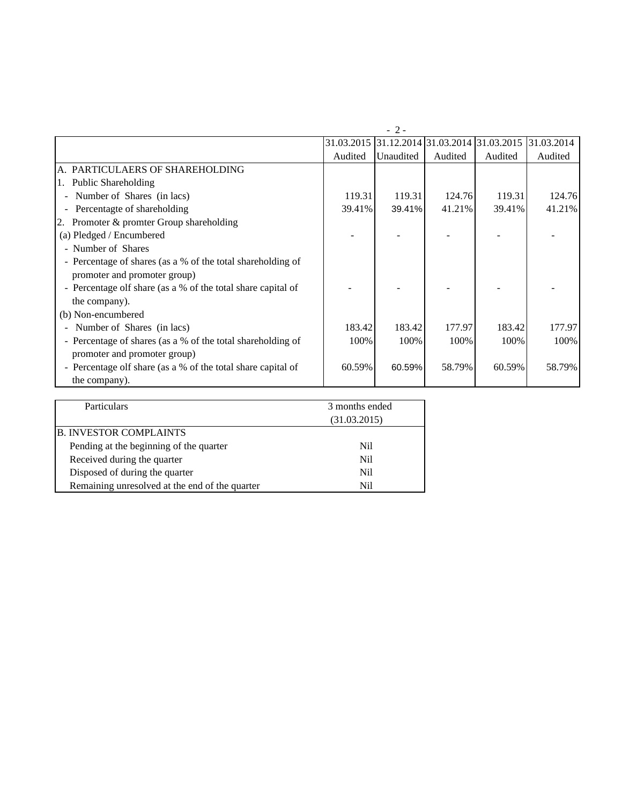|                                                              | $-2-$      |           |         |                                             |         |
|--------------------------------------------------------------|------------|-----------|---------|---------------------------------------------|---------|
|                                                              | 31.03.2015 |           |         | 31.12.2014 31.03.2014 31.03.2015 31.03.2014 |         |
|                                                              | Audited    | Unaudited | Audited | Audited                                     | Audited |
| A. PARTICULAERS OF SHAREHOLDING                              |            |           |         |                                             |         |
| <b>Public Shareholding</b><br>1.                             |            |           |         |                                             |         |
| Number of Shares (in lacs)<br>$\overline{\phantom{a}}$       | 119.31     | 119.31    | 124.76  | 119.31                                      | 124.76  |
| Percentagte of shareholding<br>$\overline{\phantom{a}}$      | 39.41%     | 39.41%    | 41.21%  | 39.41%                                      | 41.21%  |
| Promoter & promter Group shareholding<br>2.                  |            |           |         |                                             |         |
| (a) Pledged / Encumbered                                     |            |           |         |                                             |         |
| - Number of Shares                                           |            |           |         |                                             |         |
| - Percentage of shares (as a % of the total shareholding of  |            |           |         |                                             |         |
| promoter and promoter group)                                 |            |           |         |                                             |         |
| - Percentage olf share (as a % of the total share capital of |            |           |         |                                             |         |
| the company).                                                |            |           |         |                                             |         |
| (b) Non-encumbered                                           |            |           |         |                                             |         |
| Number of Shares (in lacs)                                   | 183.42     | 183.42    | 177.97  | 183.42                                      | 177.97  |
| - Percentage of shares (as a % of the total shareholding of  | 100%       | 100%      | 100%    | 100%                                        | 100%    |
| promoter and promoter group)                                 |            |           |         |                                             |         |
| - Percentage olf share (as a % of the total share capital of | 60.59%     | 60.59%    | 58.79%  | 60.59%                                      | 58.79%  |
| the company).                                                |            |           |         |                                             |         |

| <b>Particulars</b>                             | 3 months ended |  |
|------------------------------------------------|----------------|--|
|                                                | (31.03.2015)   |  |
| <b>B. INVESTOR COMPLAINTS</b>                  |                |  |
| Pending at the beginning of the quarter        | Nil            |  |
| Received during the quarter                    | Nil            |  |
| Disposed of during the quarter                 | Nil            |  |
| Remaining unresolved at the end of the quarter | Ni1            |  |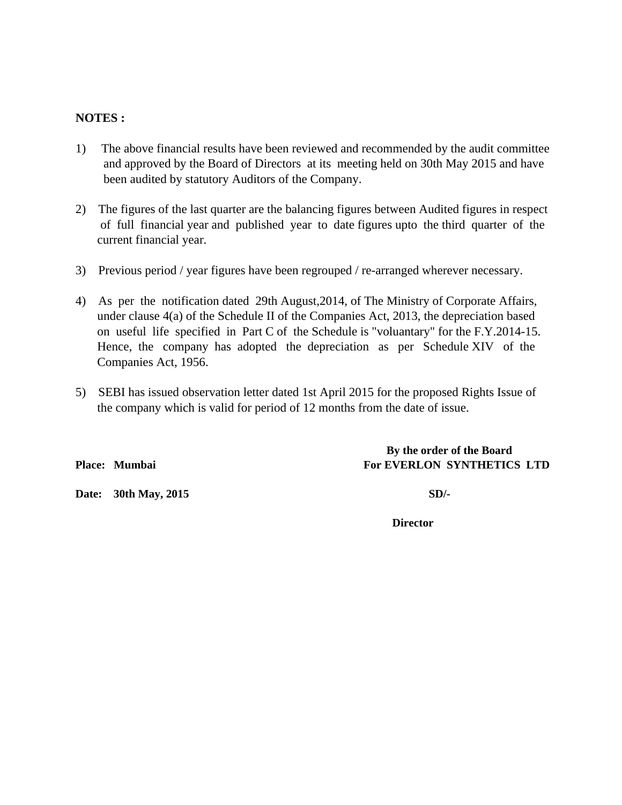## **NOTES :**

- 1) The above financial results have been reviewed and recommended by the audit committee and approved by the Board of Directors at its meeting held on 30th May 2015 and have been audited by statutory Auditors of the Company.
- 2) The figures of the last quarter are the balancing figures between Audited figures in respect of full financial year and published year to date figures upto the third quarter of the current financial year.
- 3) Previous period / year figures have been regrouped / re-arranged wherever necessary.
- 4) As per the notification dated 29th August,2014, of The Ministry of Corporate Affairs, under clause 4(a) of the Schedule II of the Companies Act, 2013, the depreciation based on useful life specified in Part C of the Schedule is "voluantary" for the F.Y.2014-15. Hence, the company has adopted the depreciation as per Schedule XIV of the Companies Act, 1956.
- 5) SEBI has issued observation letter dated 1st April 2015 for the proposed Rights Issue of the company which is valid for period of 12 months from the date of issue.

Place: Mumbai **For EVERLON SYNTHETICS LTD** 

**Date: 30th May, 2015 SD/-**

 **By the order of the Board**

 **Director**